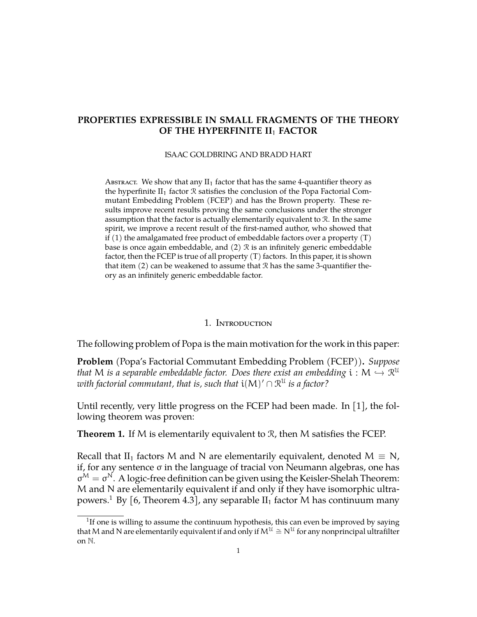# **PROPERTIES EXPRESSIBLE IN SMALL FRAGMENTS OF THE THEORY OF THE HYPERFINITE II**<sup>1</sup> **FACTOR**

ISAAC GOLDBRING AND BRADD HART

ABSTRACT. We show that any  $II_1$  factor that has the same 4-quantifier theory as the hyperfinite  $II_1$  factor  $\Re$  satisfies the conclusion of the Popa Factorial Commutant Embedding Problem (FCEP) and has the Brown property. These results improve recent results proving the same conclusions under the stronger assumption that the factor is actually elementarily equivalent to R. In the same spirit, we improve a recent result of the first-named author, who showed that if  $(1)$  the amalgamated free product of embeddable factors over a property  $(T)$ base is once again embeddable, and  $(2)$   $\mathcal R$  is an infinitely generic embeddable factor, then the FCEP is true of all property (T) factors. In this paper, it is shown that item  $(2)$  can be weakened to assume that  $\Re$  has the same 3-quantifier theory as an infinitely generic embeddable factor.

## 1. Introduction

The following problem of Popa is the main motivation for the work in this paper:

**Problem** (Popa's Factorial Commutant Embedding Problem (FCEP))**.** *Suppose that* M *is a separable embeddable factor.* Does there exist an embedding  $i : M \hookrightarrow \mathbb{R}^{\mathfrak{U}}$ <br>with factorial commutant that is, such that  $i(M)/\odot \mathfrak{M}$  is a factor<sup>2</sup>  $i$  *with factorial commutant, that is, such that*  $\mathfrak{i}(M)' \cap \mathfrak{R}^\mathfrak{U}$  *is a factor?* 

Until recently, very little progress on the FCEP had been made. In [\[1\]](#page-11-0), the following theorem was proven:

**Theorem 1.** If M is elementarily equivalent to  $\mathcal{R}$ , then M satisfies the FCEP.

Recall that II<sub>1</sub> factors M and N are elementarily equivalent, denoted  $M \equiv N$ , if, for any sentence σ in the language of tracial von Neumann algebras, one has  $\sigma^M = \sigma^N$ . A logic-free definition can be given using the Keisler-Shelah Theorem: M and N are elementarily equivalent if and only if they have isomorphic ultra-powers.<sup>[1](#page-0-0)</sup> By [\[6,](#page-11-1) Theorem 4.3], any separable  $II_1$  factor M has continuum many

<span id="page-0-0"></span> $1$ If one is willing to assume the continuum hypothesis, this can even be improved by saying that M and N are elementarily equivalent if and only if  $M^{\mathfrak{U}} \cong N^{\mathfrak{U}}$  for any nonprincipal ultrafilter on N.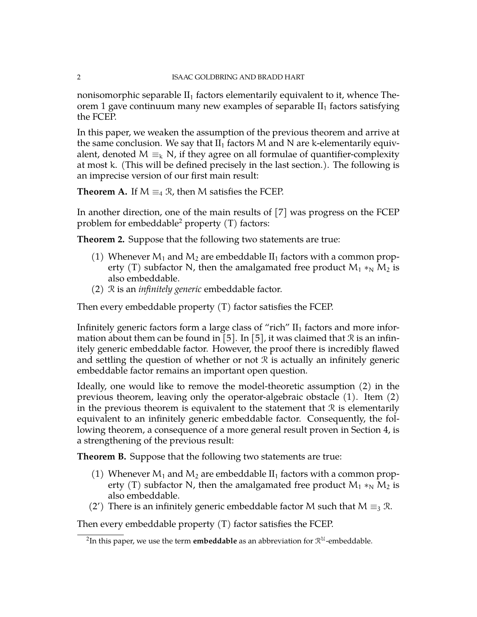nonisomorphic separable  $II_1$  factors elementarily equivalent to it, whence Theorem 1 gave continuum many new examples of separable  $II_1$  factors satisfying the FCEP.

In this paper, we weaken the assumption of the previous theorem and arrive at the same conclusion. We say that  $II_1$  factors M and N are k-elementarily equivalent, denoted M  $\equiv_k N$ , if they agree on all formulae of quantifier-complexity at most k. (This will be defined precisely in the last section.). The following is an imprecise version of our first main result:

**Theorem A.** If  $M \equiv_4 \mathcal{R}$ , then M satisfies the FCEP.

In another direction, one of the main results of [\[7\]](#page-11-2) was progress on the FCEP problem for embeddable<sup>[2](#page-1-0)</sup> property  $(T)$  factors:

**Theorem 2.** Suppose that the following two statements are true:

- (1) Whenever  $M_1$  and  $M_2$  are embeddable  $II_1$  factors with a common property (T) subfactor N, then the amalgamated free product  $M_1 *_{N} M_2$  is also embeddable.
- (2) R is an *infinitely generic* embeddable factor.

Then every embeddable property (T) factor satisfies the FCEP.

Infinitely generic factors form a large class of "rich"  $II_1$  factors and more infor-mation about them can be found in [\[5\]](#page-11-3). In [5], it was claimed that  $\Re$  is an infinitely generic embeddable factor. However, the proof there is incredibly flawed and settling the question of whether or not  $\mathcal R$  is actually an infinitely generic embeddable factor remains an important open question.

Ideally, one would like to remove the model-theoretic assumption (2) in the previous theorem, leaving only the operator-algebraic obstacle (1). Item (2) in the previous theorem is equivalent to the statement that  $\mathcal R$  is elementarily equivalent to an infinitely generic embeddable factor. Consequently, the following theorem, a consequence of a more general result proven in Section 4, is a strengthening of the previous result:

**Theorem B.** Suppose that the following two statements are true:

- (1) Whenever  $M_1$  and  $M_2$  are embeddable  $II_1$  factors with a common property (T) subfactor N, then the amalgamated free product  $M_1 *_{N} M_2$  is also embeddable.
- (2') There is an infinitely generic embeddable factor M such that  $M \equiv_3 \mathcal{R}$ .

Then every embeddable property (T) factor satisfies the FCEP.

<span id="page-1-0"></span> $^2$ In this paper, we use the term  $\boldsymbol{\epsilon}$ mbe**ddable** as an abbreviation for  $\mathcal{R}^{\mathcal{U}}$ -embeddable.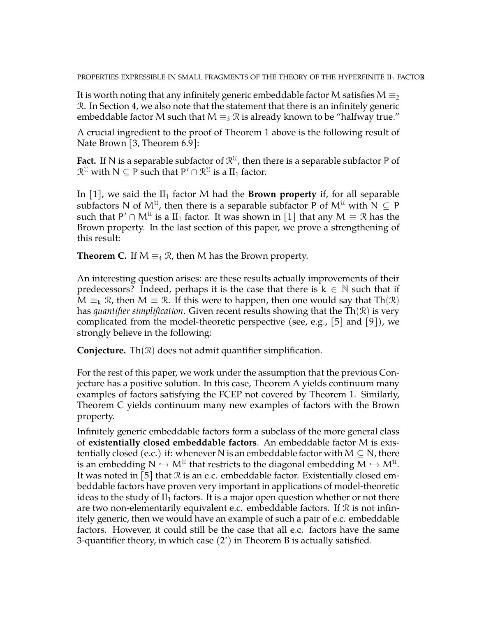PROPERTIES EXPRESSIBLE IN SMALL FRAGMENTS OF THE THEORY OF THE HYPERFINITE II<sub>1</sub> FACTOR

It is worth noting that any infinitely generic embeddable factor M satisfies  $M \equiv_2 2$ R. In Section 4, we also note that the statement that there is an infinitely generic embeddable factor M such that M  $\equiv_3 \mathcal{R}$  is already known to be "halfway true."

A crucial ingredient to the proof of Theorem 1 above is the following result of Nate Brown [\[3,](#page-11-4) Theorem 6.9]:

**Fact.** If N is a separable subfactor of  $\mathbb{R}^{\mathfrak{U}}$ , then there is a separable subfactor P of  $\mathcal{R}^{\mathcal{U}}$  with  $N \subseteq P$  such that  $P' \cap \mathcal{R}^{\mathcal{U}}$  is a  $II_1$  factor.

In [\[1\]](#page-11-0), we said the  $II_1$  factor M had the **Brown property** if, for all separable subfactors N of  $\mathsf{M}^{\mathfrak{U}}$ , then there is a separable subfactor P of  $\mathsf{M}^{\mathfrak{U}}$  with N  $\subseteq$  P such that  $\mathsf{P}' \cap \mathsf{M}^{\mathfrak{U}}$  is a  $\mathrm{II}_1$  factor. It was shown in  $[1]$  that any  $\mathsf{M} \equiv \mathfrak{R}$  has the Brown property. In the last section of this paper, we prove a strengthening of this result:

**Theorem C.** If  $M \equiv_4 \mathcal{R}$ , then M has the Brown property.

An interesting question arises: are these results actually improvements of their predecessors? Indeed, perhaps it is the case that there is  $k \in \mathbb{N}$  such that if  $M \equiv k \mathcal{R}$ , then  $M \equiv \mathcal{R}$ . If this were to happen, then one would say that Th $(\mathcal{R})$ has *quantifier simplification*. Given recent results showing that the Th(R) is very complicated from the model-theoretic perspective (see, e.g., [\[5\]](#page-11-3) and [\[9\]](#page-12-0)), we strongly believe in the following:

**Conjecture.** Th $(\mathcal{R})$  does not admit quantifier simplification.

For the rest of this paper, we work under the assumption that the previous Conjecture has a positive solution. In this case, Theorem A yields continuum many examples of factors satisfying the FCEP not covered by Theorem 1. Similarly, Theorem C yields continuum many new examples of factors with the Brown property.

Infinitely generic embeddable factors form a subclass of the more general class of **existentially closed embeddable factors**. An embeddable factor M is existentially closed (e.c.) if: whenever N is an embeddable factor with  $M \subseteq N$ , there is an embedding  $N \hookrightarrow M^{\mathcal{U}}$  that restricts to the diagonal embedding  $M \hookrightarrow M^{\mathcal{U}}$ .<br>It westerfield in [5] that  $\mathcal{P}$  is an a a supported dable factor. Existentially along a sm. It was noted in [\[5\]](#page-11-3) that  $\Re$  is an e.c. embeddable factor. Existentially closed embeddable factors have proven very important in applications of model-theoretic ideas to the study of  $II_1$  factors. It is a major open question whether or not there are two non-elementarily equivalent e.c. embeddable factors. If  $\mathcal{R}$  is not infinitely generic, then we would have an example of such a pair of e.c. embeddable factors. However, it could still be the case that all e.c. factors have the same 3-quantifier theory, in which case  $(2')$  in Theorem B is actually satisfied.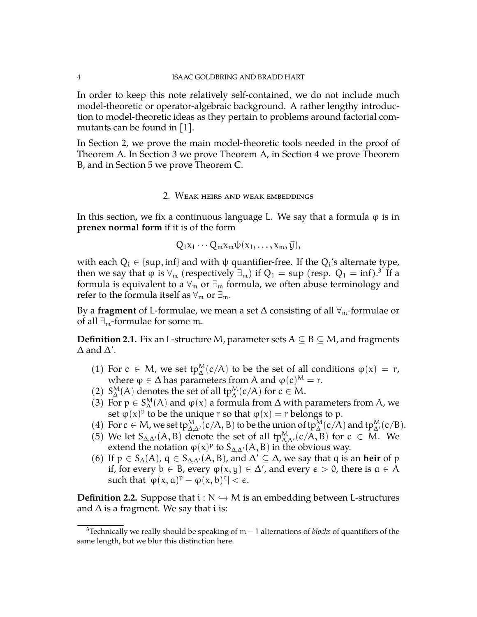In order to keep this note relatively self-contained, we do not include much model-theoretic or operator-algebraic background. A rather lengthy introduction to model-theoretic ideas as they pertain to problems around factorial commutants can be found in [\[1\]](#page-11-0).

In Section 2, we prove the main model-theoretic tools needed in the proof of Theorem A. In Section 3 we prove Theorem A, in Section 4 we prove Theorem B, and in Section 5 we prove Theorem C.

#### 2. Weak heirs and weak embeddings

In this section, we fix a continuous language L. We say that a formula  $\varphi$  is in **prenex normal form** if it is of the form

$$
Q_1x_1\cdots Q_mx_m\psi(x_1,\ldots,x_m,\vec{y}),
$$

with each  $Q_i \in \{\sup, \inf\}$  and with  $\psi$  quantifier-free. If the  $Q_i$ 's alternate type, then we say that  $\phi$  is  $\forall_m$  (respectively  $\exists_m)$  if  $Q_1 = \sup$  (resp.  $Q_1 = \inf$ ). $^3$  $^3$  If a formula is equivalent to a  $\forall_m$  or  $\exists_m$  formula, we often abuse terminology and refer to the formula itself as  $\forall_m$  or  $\exists_m$ .

By a **fragment** of L-formulae, we mean a set ∆ consisting of all ∀m-formulae or of all  $\exists_{m}$ -formulae for some m.

**Definition 2.1.** Fix an L-structure M, parameter sets  $A \subseteq B \subseteq M$ , and fragments  $\Delta$  and  $\Delta'$ .

- (1) For  $c \in M$ , we set  $tp_{\Delta}^M(c/A)$  to be the set of all conditions  $\varphi(x) = r$ , where  $\varphi \in \Delta$  has parameters from A and  $\varphi(c)^M = r$ .
- (2)  $S^M_\Delta(A)$  denotes the set of all tp $^M_\Delta(c/A)$  for  $c \in M$ .
- (3) For  $p \in S^M_\Delta(A)$  and  $\varphi(x)$  a formula from  $\Delta$  with parameters from A, we set  $\varphi(x)^p$  to be the unique r so that  $\varphi(x) = r$  belongs to p.
- (4) For  $c \in M$ , we set  $tp_{\Delta,\Delta'}^M(c/A, B)$  to be the union of  $tp_{\Delta}^M(c/A)$  and  $tp_{\Delta'}^M(c/B)$ .
- (5) We let  $S_{\Delta,\Delta'}(A, B)$  denote the set of all  $tp_{\Delta,\Delta'}^M(c/A, B)$  for  $c \in M$ . We extend the notation  $\varphi(x)^p$  to  $S_{\Delta,\Delta'}(A, B)$  in the obvious way.
- (6) If  $p \in S_{\Delta}(A)$ ,  $q \in S_{\Delta,\Delta'}(A, B)$ , and  $\Delta' \subseteq \Delta$ , we say that q is an **heir** of p if, for every  $b \in B$ , every  $\varphi(x, y) \in \Delta'$ , and every  $\epsilon > 0$ , there is  $a \in A$ such that  $|\varphi(x, a)^p - \varphi(x, b)^q| < \epsilon$ .

**Definition 2.2.** Suppose that  $i : N \rightarrow M$  is an embedding between L-structures and  $\Delta$  is a fragment. We say that i is:

<span id="page-3-0"></span><sup>3</sup>Technically we really should be speaking of m − 1 alternations of *blocks* of quantifiers of the same length, but we blur this distinction here.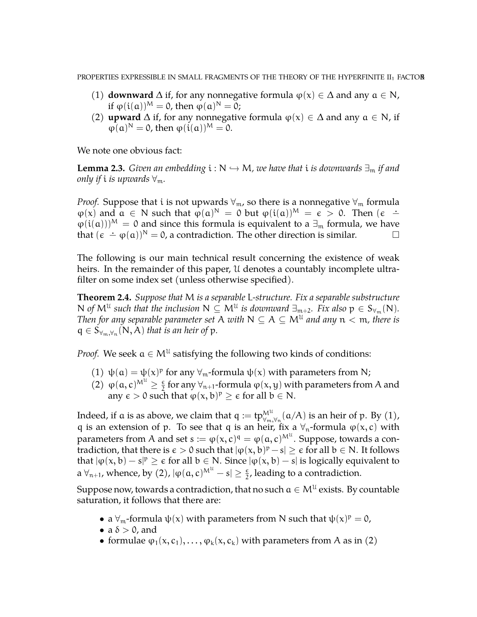- (1) **downward**  $\Delta$  if, for any nonnegative formula  $\varphi(x) \in \Delta$  and any  $a \in N$ , if  $\varphi(i(\mathfrak{a}))^{\mathsf{M}} = 0$ , then  $\varphi(\mathfrak{a})^{\mathsf{N}} = 0$ ;
- (2) **upward**  $\Delta$  if, for any nonnegative formula  $\varphi(x) \in \Delta$  and any  $a \in N$ , if  $\varphi(\mathfrak{a})^N = 0$ , then  $\varphi(\mathfrak{i}(\mathfrak{a}))^M = 0$ .

We note one obvious fact:

**Lemma 2.3.** *Given an embedding*  $i : N \rightarrow M$ *, we have that*  $i$  *is downwards*  $\exists_m$  *if and only if i is upwards*  $\forall$ <sub>m</sub>.

*Proof.* Suppose that i is not upwards  $\forall_{m}$ , so there is a nonnegative  $\forall_{m}$  formula  $\varphi(x)$  and  $\alpha \in N$  such that  $\varphi(\alpha)^N = 0$  but  $\varphi(i(\alpha))^M = \epsilon > 0$ . Then  $(\epsilon \varphi(i(\mathfrak{a}))^M = 0$  and since this formula is equivalent to a  $\exists_m$  formula, we have that  $(\epsilon - \varphi(\alpha))^N = 0$ , a contradiction. The other direction is similar.

The following is our main technical result concerning the existence of weak heirs. In the remainder of this paper, U denotes a countably incomplete ultrafilter on some index set (unless otherwise specified).

<span id="page-4-0"></span>**Theorem 2.4.** *Suppose that* M *is a separable* L*-structure. Fix a separable substructure*  $N$  of  $M^{\mathfrak{U}}$  such that the inclusion  $N \subseteq M^{\mathfrak{U}}$  is downward  $\exists_{\mathfrak{m}+2}$ . Fix also  $p \in S_{\forall_{\mathfrak{m}}}(N)$ . *Then for any separable parameter set A with*  $N \subseteq A \subseteq M^{\mathfrak{U}}$  *and any*  $n < m$ *, there is*  $q \in S_{\forall_m, \forall_n} (N, A)$  *that is an heir of* p.

*Proof.* We seek  $a \in M^{\mathfrak{U}}$  satisfying the following two kinds of conditions:

- (1)  $\psi(\mathfrak{a}) = \psi(x)^p$  for any  $\forall_m$ -formula  $\psi(x)$  with parameters from N;
- (2)  $\varphi(\mathfrak{a}, \mathfrak{c})^{M^{\mathfrak{U}}}\geq \frac{\epsilon}{2}$  for any  $\forall_{\mathfrak{n}+1}$ -formula  $\varphi(x, y)$  with parameters from A and any  $\epsilon > 0$  such that  $\varphi(x, b)^p \ge \epsilon$  for all  $b \in N$ .

Indeed, if a is as above, we claim that  $q := tp_{\forall_m,\forall_n}^{\mathcal{M}^{\mathcal{U}}}(\mathfrak{a}/A)$  is an heir of  $p.$  By  $(1)$ , q is an extension of p. To see that q is an heir, fix a  $\forall$ <sub>n</sub>-formula  $\varphi$ (x, c) with parameters from A and set  $s := \phi(x,c)^{\mathfrak{q}} = \phi(\mathfrak{a},c)^{\operatorname{M}^{\mathfrak{U}}}$ . Suppose, towards a contradiction, that there is  $\epsilon > 0$  such that  $|\varphi(x, b)^p - s| \geq \epsilon$  for all  $b \in N$ . It follows that  $|\varphi(x, b) - s|^p \ge \epsilon$  for all  $b \in N$ . Since  $|\varphi(x, b) - s|$  is logically equivalent to a  $\forall_{n+1}$ , whence, by (2),  $|\varphi(a,c)^{M^{\mathcal{U}}}-s|\geq \frac{\varepsilon}{2}$  $\frac{\epsilon}{2}$ , leading to a contradiction.

Suppose now, towards a contradiction, that no such  $\mathfrak{a}\in\mathsf{M}^{\mathfrak{U}}$  exists. By countable saturation, it follows that there are:

- a  $\forall$ <sub>m</sub>-formula  $\psi(x)$  with parameters from N such that  $\psi(x)^p = 0$ ,
- a  $\delta > 0$ , and
- formulae  $\varphi_1(x, c_1), \ldots, \varphi_k(x, c_k)$  with parameters from A as in (2)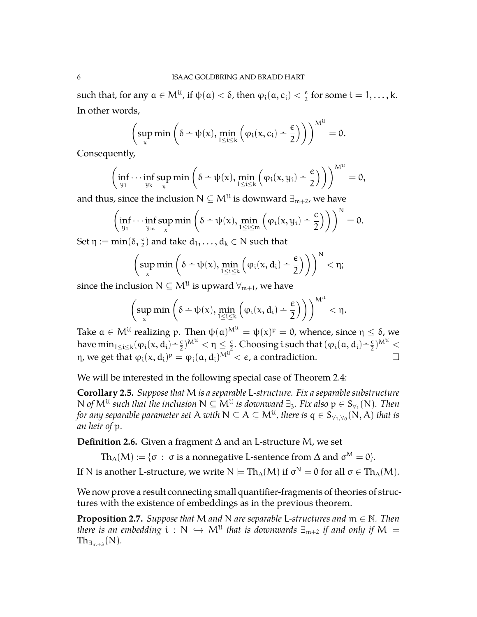such that, for any  $a \in M^{\mathfrak{U}}$ , if  $\psi(\mathfrak{a}) < \delta$ , then  $\varphi_i(\mathfrak{a}, \mathfrak{c}_i) < \frac{\epsilon}{2}$  $\frac{\epsilon}{2}$  for some  $i = 1, \ldots, k$ . In other words,

$$
\left(\sup_x\min\left(\delta\div\psi(x),\min_{1\leq i\leq k}\left(\phi_i(x,c_i)\div\frac{\varepsilon}{2}\right)\right)\right)^{M^{\mathcal U}}=0.
$$

Consequently,

$$
\left(\inf_{y_1}\cdots\inf_{y_k}\sup_x\min\left(\delta\div\psi(x),\min_{1\leq i\leq k}\left(\phi_i(x,y_i)\div\frac{\varepsilon}{2}\right)\right)\right)^{M^{\mathcal U}}=0,
$$

and thus, since the inclusion  $\mathsf{N}\subseteq \mathsf{M}^{\mathfrak{U}}$  is downward  $\exists_{\mathfrak{m}+2}$ , we have

$$
\left(\inf_{y_1}\cdots\inf_{y_m}\sup_x\min\left(\delta-\psi(x),\min_{1\leq i\leq m}\left(\phi_i(x,y_i)-\frac{\varepsilon}{2}\right)\right)\right)^N=0.
$$

Set  $\eta := \min(\delta, \frac{\epsilon}{2})$  and take  $d_1, \ldots, d_k \in \mathbb{N}$  such that

$$
\left(\sup_x\min\left(\delta\div\psi(x),\min_{1\leq i\leq k}\left(\phi_i(x,d_i)\div\frac{\varepsilon}{2}\right)\right)\right)^N<\eta;
$$

since the inclusion  $\mathsf{N}\subseteq\mathsf{M}^{\mathfrak{U}}$  is upward  $\forall_{\mathfrak{m}+1}$ , we have

$$
\left(\sup_x\min\left(\delta\div\psi(x),\min_{1\leq i\leq k}\left(\phi_i(x,d_i)\div\frac{\varepsilon}{2}\right)\right)\right)^{M^{\mathfrak U}}<\eta.
$$

Take  $a \in \mathsf{M}^{\mathfrak{U}}$  realizing  $\mathfrak{p}.$  Then  $\psi(a)^{\mathsf{M}^{\mathfrak{U}}} = \psi(x)^{\mathfrak{p}} = 0$ , whence, since  $\mathfrak{\eta} \leq \delta$ , we have  $\min_{1 \le i \le k} (\varphi_i(x, d_i) - \frac{\epsilon}{2})^{M^{\mathcal{U}}} < \eta \le \frac{\epsilon}{2}$  $\frac{\epsilon}{2}$ . Choosing i such that  $(\varphi_i(a, d_i) - \frac{\epsilon}{2})^{M^{\mathcal{U}}}$ η, we get that  $\varphi_{\rm i}({\rm x},{\rm d}_{\rm i})^{\rm p}=\varphi_{\rm i}({\rm a},{\rm d}_{\rm i})^{{\rm M}^{\rm u}}<\epsilon$ , a contradiction.  $\hfill \Box$ 

We will be interested in the following special case of Theorem [2.4:](#page-4-0)

**Corollary 2.5.** *Suppose that* M *is a separable* L*-structure. Fix a separable substructure* N of  $M^{\mathfrak{U}}$  such that the inclusion  $N \subseteq M^{\mathfrak{U}}$  is downward  $\exists_3$ . Fix also  $p \in S_{\forall_1}(N)$ . Then for any separable parameter set  $A$  with  $N\subseteq A\subseteq M^{\mathfrak{U}}$ , there is  $\mathsf{q}\in \mathsf{S}_{\forall_1,\forall_0}(\mathsf{N},A)$  that is *an heir of* p*.*

**Definition 2.6.** Given a fragment ∆ and an L-structure M, we set

 $\mathrm{Th}_\Delta(\mathcal{M}):=\{\sigma\,:\,\sigma\text{ is a nonnegative L-sentence from }\Delta\text{ and }\sigma^\mathcal{M}=0\}.$ 

If N is another L-structure, we write  $N\models \text{Th}_\Delta(\mathcal{M})$  if  $\sigma^\mathcal{N}=0$  for all  $\sigma\in \text{Th}_\Delta(\mathcal{M}).$ 

We now prove a result connecting small quantifier-fragments of theories of structures with the existence of embeddings as in the previous theorem.

<span id="page-5-0"></span>**Proposition 2.7.** *Suppose that* M *and* N *are separable* L*-structures and* m ∈ N*. Then there is an embedding*  $i : N \hookrightarrow M^U$  *that is downwards*  $\exists_{m+2}$  *if and only if*  $M \models$ <br>The  $(M)$  $\text{Th}_{\exists_{m+3}}(N)$ .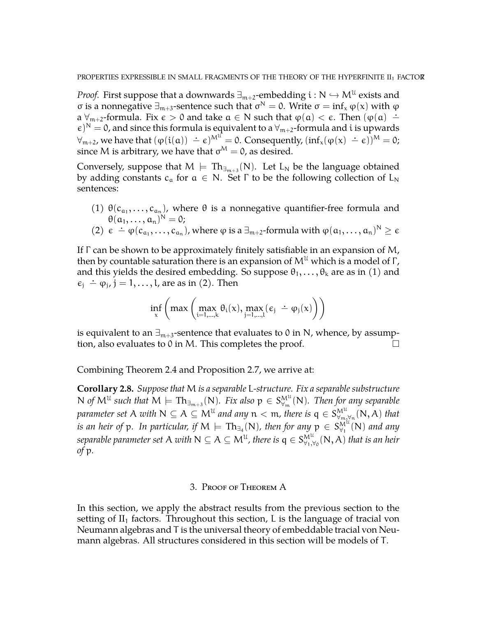*Proof.* First suppose that a downwards  $\exists_{m+2}$ -embedding  $i : N \hookrightarrow M^U$  exists and σ is a nonnegative  $\exists_{m+3}$ -sentence such that  $\sigma^N = 0$ . Write  $\sigma = \inf_x \varphi(x)$  with  $\varphi$ a  $\forall_{m+2}$ -formula. Fix  $\epsilon > 0$  and take  $a \in N$  such that  $\varphi(a) < \epsilon$ . Then  $(\varphi(a) \doteq$  $(\epsilon)^N = 0$ , and since this formula is equivalent to a  $\forall_{m+2}$ -formula and i is upwards  $\forall_{m+2}$ , we have that  $(\varphi(i(\alpha)) - \epsilon)^{M^U} = 0$ . Consequently,  $(inf_x(\varphi(x) - \epsilon))^{M} = 0$ ; since M is arbitrary, we have that  $\sigma^M = 0$ , as desired.

Conversely, suppose that  $M \models Th_{\exists_{m+3}}(N)$ . Let  $L_N$  be the language obtained by adding constants  $c_a$  for  $a \in N$ . Set  $\Gamma$  to be the following collection of  $L_N$ sentences:

(1)  $\theta(c_{a_1},...,c_{a_n})$ , where  $\theta$  is a nonnegative quantifier-free formula and  $\theta(a_1,\ldots,a_n)^N=0;$ 

(2) 
$$
\epsilon \doteq \varphi(c_{a_1},...,c_{a_n})
$$
, where  $\varphi$  is a  $\exists_{m+2}$ -formula with  $\varphi(a_1,...,a_n)^N \ge \epsilon$ 

If Γ can be shown to be approximately finitely satisfiable in an expansion of M, then by countable saturation there is an expansion of  $M^{\mathfrak{U}}$  which is a model of  $\Gamma$ , and this yields the desired embedding. So suppose  $\theta_1, \ldots, \theta_k$  are as in (1) and  $\epsilon_j \doteq \varphi_j$ ,  $j = 1, ..., l$ , are as in (2). Then

$$
\inf_{x}\left( max\left( \max_{i=1,\ldots,k}\theta_{i}(x), \max_{j=1,\ldots,l}(\varepsilon_{j}\ \dot{-}\ \phi_{j}(x)\right)\right)
$$

is equivalent to an  $\exists_{m+3}$ -sentence that evaluates to 0 in N, whence, by assumption, also evaluates to 0 in M. This completes the proof.  $\Box$ 

Combining Theorem [2.4](#page-4-0) and Proposition [2.7,](#page-5-0) we arrive at:

<span id="page-6-0"></span>**Corollary 2.8.** *Suppose that* M *is a separable* L*-structure. Fix a separable substructure*  $N$  *of*  $M^{\mathfrak{U}}$  such that  $M \models \mathrm{Th}_{\exists_{m+3}}(N)$ *. Fix also*  $p \in S^{\mathrm{M}^{\mathfrak{U}}}_{\forall_m}$ ∀<sup>m</sup> (N)*. Then for any separable* parameter set A with  $N \subseteq A \subseteq M^{\mathfrak{U}}$  and any  $n < m$ , there is  $\mathfrak{q} \in \mathbb{S}_{\forall m}^{\mathbb{M}^{\mathfrak{U}}}$  $W^{\mu}_{m,\forall n}(\mathsf{N},\mathsf{A})$  that is an heir of  $p.$  In particular, if  $\mathsf{M} \models \mathrm{Th}_{\exists_{4}}(\mathsf{N})$ , then for any  $p \, \in \, \mathcal{S}_{\forall_{1}}^{\mathsf{M}^{\mathbb{U}}}$  $_{\forall_{1}}^{M^{\alpha}}(\mathsf{N})$  and any separable parameter set A with  $\mathsf{N}\subseteq\mathsf{A}\subseteq\mathsf{M}^{\mathfrak{U}}$ , there is  $\mathsf{q}\in\mathsf{S}_{\forall_1,\forall}^{\mathsf{M}^{\mathfrak{U}}}$  $W^{\mu}_{\forall 1,\forall 0}(\mathsf{N},\mathsf{A})$  that is an heir *of* p*.*

#### 3. Proof of Theorem A

In this section, we apply the abstract results from the previous section to the setting of  $II_1$  factors. Throughout this section, L is the language of tracial von Neumann algebras and T is the universal theory of embeddable tracial von Neumann algebras. All structures considered in this section will be models of T.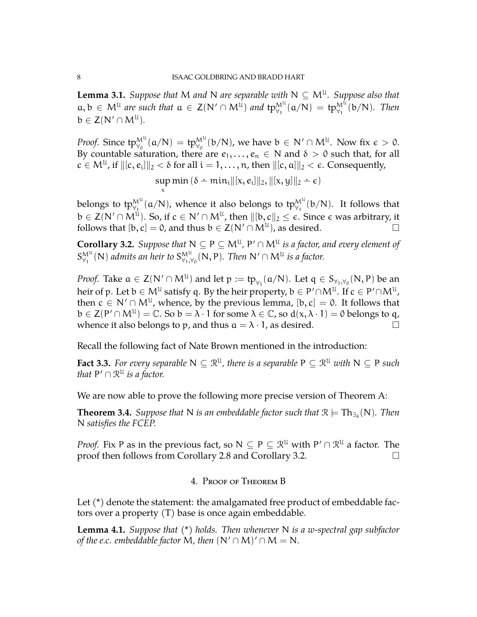**Lemma 3.1.** *Suppose that* M *and* N *are separable with*  $N \subseteq M^{\mathfrak{U}}$ *. Suppose also that*  $a, b \in M^{\mathfrak{U}}$  are such that  $a \in Z(N' \cap M^{\mathfrak{U}})$  and  $tp_{\forall_1}^{M^{\mathfrak{U}}} (a/N) = tp_{\forall_1}^{M^{\mathfrak{U}}} (b/N)$ . Then  $b \in Z(N' \cap M^{\mathcal{U}}).$ 

*Proof.* Since  $tp_{\forall_0}^{M^U}(a/N) = tp_{\forall_0}^{M^U}(b/N)$ , we have  $b \in N' \cap M^U$ . Now fix  $\epsilon > 0$ . By countable saturation, there are  $e_1, \ldots, e_n \in N$  and  $\delta > 0$  such that, for all  $c \in M^{\mathfrak{U}}$ , if  $\|[c, e_i]\|_2 < \delta$  for all  $i = 1, \ldots, n$ , then  $\|[c, a]\|_2 < \epsilon$ . Consequently,

> $\sup \min \left( \delta - \min_{i} ||[x, e_i]||_2, ||[x, y]||_2 - \epsilon \right)$ x

belongs to tp $_{\forall_1}^{M^{\mathfrak{U}}}(\mathfrak{a}/N)$ , whence it also belongs to tp $_{\forall_1}^{M^{\mathfrak{U}}}(\mathfrak{b}/N).$  It follows that  $\mathbb{b}\in\mathsf{Z}(\mathsf{N}'\cap\mathsf{M}^{\mathfrak{U}}).$  So, if  $\mathfrak{c}\in\mathsf{N}'\cap\mathsf{M}^{\mathfrak{U}},$  then  $\Vert[\mathfrak{b},\mathfrak{c}\Vert_2\leq\epsilon.$  Since  $\epsilon$  was arbitrary, it follows that  $[b, c] = 0$ , and thus  $b \in Z(N' \cap M^{\mathcal{U}})$ , as desired.

<span id="page-7-0"></span>**Corollary 3.2.** Suppose that  $N \subseteq P \subseteq M^{\mathfrak{U}}$ ,  $P' \cap M^{\mathfrak{U}}$  is a factor, and every element of  $S^{\mathrm{M}^{\mathrm{U}}}_{\mathrm{V}_1}$  $_{\forall_{1}}^{\mathsf{M}^{\mathfrak{U}}}$ (N) admits an heir to  $\mathsf{S}^{\mathsf{M}^{\mathfrak{U}}}_{\forall_{1},\forall_{2}}$  $W^u_{\forall 1,\forall 0}(\mathsf{N},\mathsf{P})$ *. Then*  $\mathsf{N}'\cap \mathsf{M}^{\mathfrak{U}}$  *is a factor.* 

*Proof.* Take  $a \in Z(N' \cap M^{\mathcal{U}})$  and let  $p := tp_{\forall_1}(a/N)$ . Let  $q \in S_{\forall_1, \forall_0}(N, P)$  be an heir of p. Let  $\mathfrak{b}\in\mathsf{M}^{\mathfrak{U}}$  satisfy q. By the heir property,  $\mathfrak{b}\in\mathsf{P}'\!\cap\mathsf{M}^{\mathfrak{U}}.$  If  $\mathfrak{c}\in\mathsf{P}'\!\cap\mathsf{M}^{\mathfrak{U}},$ then  $c \in N' \cap M^{\mathfrak{U}}$ , whence, by the previous lemma,  $[b, c] = 0$ . It follows that  $b \in Z(P' \cap M^{\mathcal{U}}) = \mathbb{C}$ . So  $b = \lambda \cdot 1$  for some  $\lambda \in \mathbb{C}$ , so  $d(x, \lambda \cdot 1) = 0$  belongs to q, whence it also belongs to p, and thus  $a = \lambda \cdot 1$ , as desired.

Recall the following fact of Nate Brown mentioned in the introduction:

**Fact 3.3.** For every separable  $N \subseteq \mathbb{R}^{\mathfrak{U}}$ , there is a separable  $P \subseteq \mathbb{R}^{\mathfrak{U}}$  with  $N \subseteq P$  such *that*  $P' \cap \mathbb{R}^{\mathfrak{U}}$  *is a factor.* 

We are now able to prove the following more precise version of Theorem A:

**Theorem 3.4.** Suppose that N is an embeddable factor such that  $\mathcal{R} \models \mathrm{Th}_{\exists_4}(\mathsf{N})$ . Then N *satisfies the FCEP.*

*Proof.* Fix P as in the previous fact, so  $N \subseteq P \subseteq \mathbb{R}^{\mathfrak{U}}$  with  $P' \cap \mathbb{R}^{\mathfrak{U}}$  a factor. The proof then follows from Corollary [2.8](#page-6-0) and Corollary [3.2.](#page-7-0)

### 4. Proof of Theorem B

Let (\*) denote the statement: the amalgamated free product of embeddable factors over a property (T) base is once again embeddable.

<span id="page-7-1"></span>**Lemma 4.1.** *Suppose that (\*) holds. Then whenever* N *is a w-spectral gap subfactor of the e.c. embeddable factor* M, then  $(N' \cap M)' \cap M = N$ .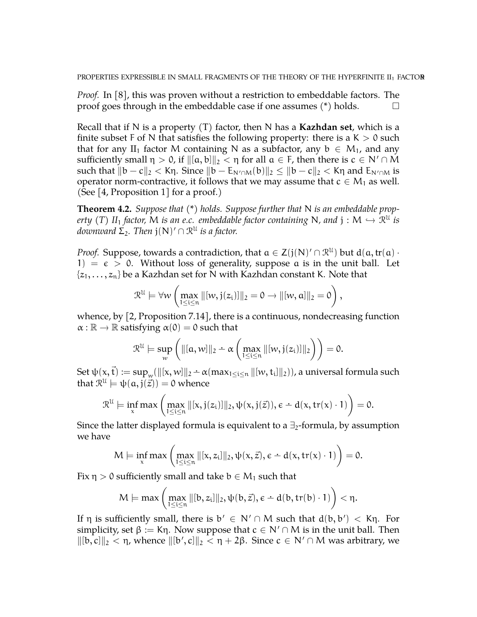*Proof.* In [\[8\]](#page-11-5), this was proven without a restriction to embeddable factors. The proof goes through in the embeddable case if one assumes  $(*)$  holds.  $\Box$ 

Recall that if N is a property (T) factor, then N has a **Kazhdan set**, which is a finite subset F of N that satisfies the following property: there is a  $K > 0$  such that for any II<sub>1</sub> factor M containing N as a subfactor, any  $b \in M_1$ , and any sufficiently small  $\eta > 0$ , if  $\|[a, b]\|_2 < \eta$  for all  $a \in F$ , then there is  $c \in N' \cap M$ such that  $||b - c||_2 < K\eta$ . Since  $||b - E_{N' \cap M}(b)||_2 \le ||b - c||_2 < K\eta$  and  $E_{N' \cap M}$  is operator norm-contractive, it follows that we may assume that  $c \in M_1$  as well. (See [\[4,](#page-11-6) Proposition 1] for a proof.)

<span id="page-8-0"></span>**Theorem 4.2.** *Suppose that (\*) holds. Suppose further that* N *is an embeddable property* (*T*)  $II_1$  *factor,* M *is an e.c. embeddable factor containing* N, and  $j : M \hookrightarrow \mathbb{R}^{\mathbb{U}}$  *is*<br>decouverant  $\sum_{i=1}^{\infty}$  Then  $i(\mathbb{N})/\bigcirc \mathbb{R}^{\mathbb{U}}$  is a factory  $d$ ownward  $\Sigma_2$ . Then  $\mathfrak{j}(\mathsf{N})' \cap \mathfrak{R}^{\mathfrak{U}}$  is a factor.

*Proof.* Suppose, towards a contradiction, that  $a \in Z(j(N)' \cap \mathcal{R}^{\mathcal{U}})$  but  $d(a, tr(a) \cdot$ 1) =  $\epsilon$  > 0. Without loss of generality, suppose a is in the unit ball. Let  $\{z_1, \ldots, z_n\}$  be a Kazhdan set for N with Kazhdan constant K. Note that

$$
\mathfrak{R}^{\mathfrak{U}}\models \forall w\left(\max_{1\leq i\leq n}\|[w,j(z_{i})]\|_{2}=0\rightarrow \|[w,a]\|_{2}=0\right),
$$

whence, by [\[2,](#page-11-7) Proposition 7.14], there is a continuous, nondecreasing function  $\alpha : \mathbb{R} \to \mathbb{R}$  satisfying  $\alpha(0) = 0$  such that

$$
\mathcal{R}^{\mathcal{U}} \models \sup_{w} \left( \| [a,w] \|_2 - \alpha \left( \max_{1 \leq i \leq n} \| [w,j(z_i)] \|_2 \right) \right) = 0.
$$

 $\operatorname{Set} \psi(x, \vec{t}) := \sup_w (\|[x,w]\|_2 - \alpha (\max_{1 \leq i \leq n} \| [w, t_i] \|_2))$ , a universal formula such that  $\mathcal{R}^{\mathfrak{U}}\models\psi(\mathfrak{a},\mathfrak{j}(\vec{z}))=0$  whence

$$
\mathcal{R}^{\mathcal{U}} \models \inf_{x} \max \left( \max_{1 \leq i \leq n} \| [x, j(z_i)] \|_2, \psi(x, j(\vec{z})), \varepsilon \doteq d(x, tr(x) \cdot 1) \right) = 0.
$$

Since the latter displayed formula is equivalent to a  $\exists$ <sub>2</sub>-formula, by assumption we have

$$
M \models \inf_x \max \left( \max_{1 \leq i \leq n} \| [x, z_i] \|_2, \psi(x, \vec{z}), \varepsilon - d(x, tr(x) \cdot 1) \right) = 0.
$$

Fix  $\eta > 0$  sufficiently small and take  $b \in M_1$  such that

$$
M \models \max\left(\max_{1 \leq i \leq n} \|[b,z_i]\|_2, \psi(b,\vec{z}), \varepsilon - d(b,tr(b) \cdot 1)\right) < \eta.
$$

If η is sufficiently small, there is  $b' \in N' \cap M$  such that  $d(b, b') < K\eta$ . For simplicity, set  $\beta := K\eta$ . Now suppose that  $c \in N' \cap M$  is in the unit ball. Then  $\|[b, c]\|_2 < \eta$ , whence  $\|[b', c]\|_2 < \eta + 2\beta$ . Since c ∈ N'∩M was arbitrary, we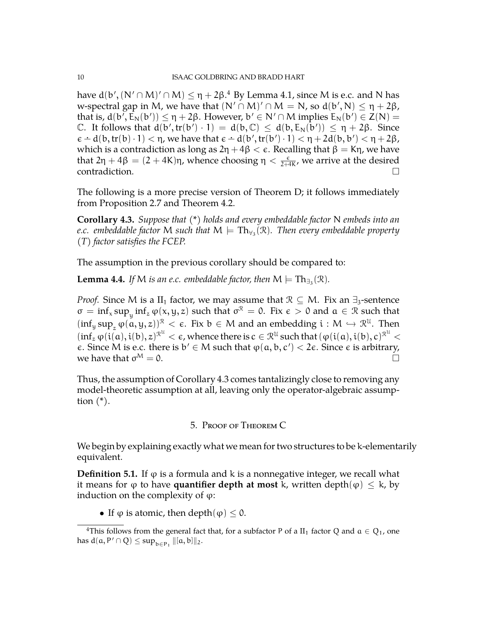have d(b', (N'∩M)'∩M)  $\leq$  η + 2β. $^4$  $^4$  By Lemma [4.1,](#page-7-1) since M is e.c. and N has w-spectral gap in M, we have that  $(N' \cap M)' \cap M = N$ , so  $d(b', N) \leq \eta + 2\beta$ , that is,  $d(b', \bar{E}_N(b')) \leq \eta + 2\beta$ . However,  $b' \in N' \cap M$  implies  $E_N(b') \in Z(N) =$ C. It follows that  $d(b', tr(b') \cdot 1) = d(b, C) \leq d(b, E_N(b')) \leq \eta + 2\beta$ . Since  $\epsilon - d(b, tr(b) \cdot 1) < \eta$ , we have that  $\epsilon - d(b', tr(b') \cdot 1) < \eta + 2d(b, b') < \eta + 2\beta$ , which is a contradiction as long as  $2\eta + 4\beta < \epsilon$ . Recalling that  $\beta = K\eta$ , we have that 2η + 4β =  $(2 + 4K)$ η, whence choosing η  $\lt \frac{\varepsilon}{2+4K}$ , we arrive at the desired contradiction.  $\Box$ 

The following is a more precise version of Theorem D; it follows immediately from Proposition [2.7](#page-5-0) and Theorem [4.2.](#page-8-0)

<span id="page-9-1"></span>**Corollary 4.3.** *Suppose that (\*) holds and every embeddable factor* N *embeds into an e.c. embeddable factor*  $M$  *such that*  $M \models \text{Th}_{\forall_3}(\mathfrak{R})$ *. Then every embeddable property (T) factor satisfies the FCEP.*

The assumption in the previous corollary should be compared to:

**Lemma 4.4.** If M is an e.c. embeddable factor, then  $M \models Th_{\exists_3}(\mathcal{R})$ .

*Proof.* Since M is a II<sub>1</sub> factor, we may assume that  $\mathcal{R} \subseteq M$ . Fix an  $\exists_3$ -sentence  $\sigma = \inf_x \sup_y \inf_z \varphi(x, y, z)$  such that  $\sigma^{\mathcal{R}} = 0$ . Fix  $\epsilon > 0$  and  $\alpha \in \mathcal{R}$  such that  $(\inf_y \sup_z \varphi(a, y, z))^{\mathcal{R}} < \epsilon$ . Fix  $b \in M$  and an embedding  $i : M \hookrightarrow \mathbb{R}^{\mathcal{U}}$ . Then  $(\inf_z \varphi(\iota(a), \iota(b), z)^{\mathcal{R}^{\mathcal{U}}} < \epsilon$ , whence there is  $c \in \mathcal{R}^{\mathcal{U}}$  such that  $(\varphi(\iota(a), \iota(b), c)^{\mathcal{R}^{\mathcal{U}}} <$  $\epsilon$ . Since M is e.c. there is  $b' \in M$  such that  $\varphi(a, b, c') < 2\epsilon$ . Since  $\epsilon$  is arbitrary, we have that  $\sigma^M = 0$ .  $M = 0.$ 

Thus, the assumption of Corollary [4.3](#page-9-1) comes tantalizingly close to removing any model-theoretic assumption at all, leaving only the operator-algebraic assumption  $(*)$ .

### 5. Proof of Theorem C

We begin by explaining exactly what we mean for two structures to be k-elementarily equivalent.

**Definition 5.1.** If  $\varphi$  is a formula and k is a nonnegative integer, we recall what it means for  $\varphi$  to have **quantifier depth at most** k, written depth $(\varphi) \leq k$ , by induction on the complexity of  $φ$ :

• If  $\varphi$  is atomic, then depth $(\varphi) \leq 0$ .

<span id="page-9-0"></span><sup>&</sup>lt;sup>4</sup>This follows from the general fact that, for a subfactor P of a II<sub>1</sub> factor Q and  $a \in Q_1$ , one has  $d(a, P' \cap Q) \leq \sup_{b \in P_1} ||[a, b]||_2$ .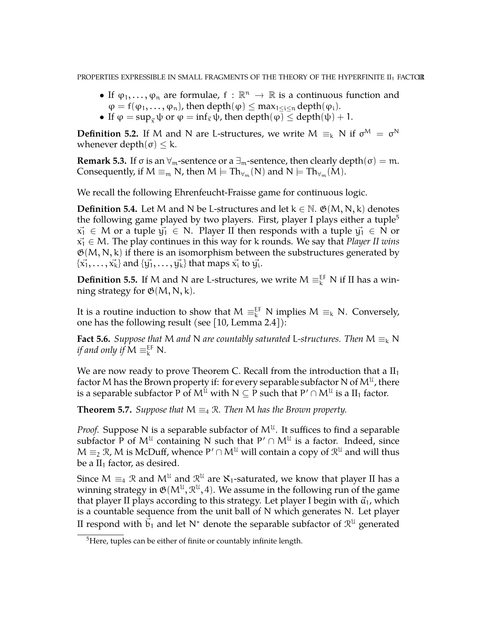PROPERTIES EXPRESSIBLE IN SMALL FRAGMENTS OF THE THEORY OF THE HYPERFINITE II<sub>1</sub> FACTOR

- If  $\varphi_1, \ldots, \varphi_n$  are formulae,  $f : \mathbb{R}^n \to \mathbb{R}$  is a continuous function and  $\varphi = f(\varphi_1, \ldots, \varphi_n)$ , then depth $(\varphi) \leq \max_{1 \leq i \leq n} \text{depth}(\varphi_i)$ .
- If  $\varphi = \sup_{\vec{z}} \psi$  or  $\varphi = \inf_{\vec{x}} \psi$ , then depth $(\varphi) \leq$  depth $(\psi) + 1$ .

**Definition 5.2.** If M and N are L-structures, we write  $M \equiv_k N$  if  $\sigma^M = \sigma^N$ whenever depth( $σ$ )  $\leq$  k.

**Remark 5.3.** If  $\sigma$  is an  $\forall_m$ -sentence or a  $\exists_m$ -sentence, then clearly depth( $\sigma$ ) = m. Consequently, if  $M \equiv_m N$ , then  $M \models Th_{\forall_m}(N)$  and  $N \models Th_{\forall_m}(M)$ .

We recall the following Ehrenfeucht-Fraisse game for continuous logic.

**Definition 5.4.** Let M and N be L-structures and let  $k \in \mathbb{N}$ .  $\mathfrak{G}(M, N, k)$  denotes the following game played by two players. First, player I plays either a tuple<sup>[5](#page-10-0)</sup>  $x_1 \in M$  or a tuple  $y_1 \in N$ . Player II then responds with a tuple  $y_1 \in N$  or  $x_1 \in M$ . The play continues in this way for k rounds. We say that *Player II wins*  $\mathfrak{G}(M, N, k)$  if there is an isomorphism between the substructures generated by  $\{\vec{x_1},\ldots,\vec{x_k}\}$  and  $\{\vec{y_1},\ldots,\vec{y_k}\}$  that maps  $\vec{x_i}$  to  $\vec{y_i}.$ 

**Definition 5.5.** If M and N are L-structures, we write  $M \equiv_k^{EF} N$  if II has a winning strategy for  $\mathfrak{G}(M, N, k)$ .

It is a routine induction to show that  $M \equiv_k^{\text{EF}} N$  implies  $M \equiv_k N$ . Conversely, one has the following result (see [\[10,](#page-12-1) Lemma 2.4]):

**Fact 5.6.** *Suppose that* M *and* N *are countably saturated* L-structures. Then  $M \equiv_k N$ if and only if  $M \equiv_k^{\text{EF}} N$ .

We are now ready to prove Theorem C. Recall from the introduction that a  $II_1$ factor M has the Brown property if: for every separable subfactor N of  $\mathsf{M}^{\mathfrak{U}}$  , there is a separable subfactor P of  $\mathsf{M}^{\mathfrak{U}}$  with  $\mathsf{N}\subseteq\mathsf{P}$  such that  $\mathsf{P}'\cap\mathsf{M}^{\mathfrak{U}}$  is a  $\mathrm{II}_1$  factor.

**Theorem 5.7.** *Suppose that*  $M \equiv_4 \mathbb{R}$ *. Then* M *has the Brown property.* 

*Proof.* Suppose N is a separable subfactor of  $M^{\mathfrak{U}}$ . It suffices to find a separable subfactor P of  $M^{\mathfrak{U}}$  containing N such that  $P' \cap M^{\mathfrak{U}}$  is a factor. Indeed, since  $M \equiv_2 \mathcal{R}$ , M is McDuff, whence  $P' \cap M^{\mathcal{U}}$  will contain a copy of  $\mathcal{R}^{\mathcal{U}}$  and will thus be a  $II_1$  factor, as desired.

Since M  $\equiv_4 \mathcal{R}$  and  $\mathcal{M}^\mathcal{U}$  and  $\mathcal{R}^\mathcal{U}$  are  $\aleph_1$ -saturated, we know that player II has a winning strategy in  $\mathfrak{G}(M^{\mathfrak{U}},\mathfrak{R}^{\mathfrak{U}},4).$  We assume in the following run of the game that player II plays according to this strategy. Let player I begin with  $\vec{a}_1$ , which is a countable sequence from the unit ball of N which generates N. Let player II respond with  $\vec{\mathfrak{b}}_1$  and let N $^*$  denote the separable subfactor of  $\mathfrak{R}^{\mathfrak{U}}$  generated

<span id="page-10-0"></span><sup>&</sup>lt;sup>5</sup>Here, tuples can be either of finite or countably infinite length.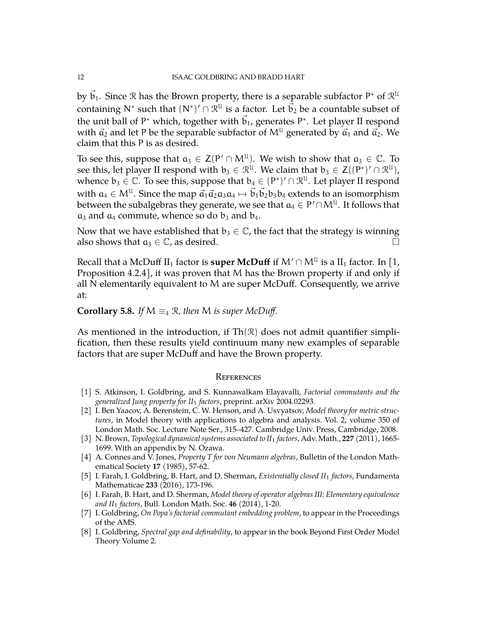by  $\vec{\mathsf{b}}_1.$  Since  $\mathcal R$  has the Brown property, there is a separable subfactor P\* of  $\mathcal R^{\mathfrak U}$ containing N<sup>\*</sup> such that  $(N^*)' \cap \mathcal{R}^{\mathcal{U}}$  is a factor. Let  $\vec{b}_2$  be a countable subset of the unit ball of P\* which, together with  $\vec{b}_1$ , generates P\*. Let player II respond with  $\vec{a}_2$  and let P be the separable subfactor of  $M^{\mathfrak{U}}$  generated by  $\vec{a}_1$  and  $\vec{a}_2$ . We claim that this P is as desired.

To see this, suppose that  $a_3 \in Z(P' \cap M^{\mathfrak{U}})$ . We wish to show that  $a_3 \in \mathbb{C}$ . To see this, let player II respond with  $b_3 \in \mathcal{R}^{\mathfrak{U}}$ . We claim that  $b_3 \in Z((P^*)'\cap \mathcal{R}^{\mathfrak{U}})$ , whence  $b_3 \in \mathbb{C}$ . To see this, suppose that  $b_4 \in (P^*)' \cap \mathbb{R}^{\mathfrak{U}}$ . Let player II respond with  $a_4 \in M^{\mathcal{U}}$ . Since the map  $\vec{a}_1 \vec{a}_2 a_3 a_4 \mapsto \vec{b}_1 \vec{b}_2 b_3 b_4$  extends to an isomorphism between the subalgebras they generate, we see that  $\mathfrak{a}_4 \in \mathsf{P}' \cap \mathsf{M}^\mathfrak{U}.$  It follows that  $a_3$  and  $a_4$  commute, whence so do  $b_3$  and  $b_4$ .

Now that we have established that  $b_3 \in \mathbb{C}$ , the fact that the strategy is winning also shows that  $a_3 \in \mathbb{C}$ , as desired.

Recall that a McDuff II<sub>1</sub> factor is **super McDuff** if  $\mathsf{M}' \cap \mathsf{M}^{\mathfrak{U}}$  is a II<sub>1</sub> factor. In [\[1,](#page-11-0) Proposition 4.2.4], it was proven that M has the Brown property if and only if all N elementarily equivalent to M are super McDuff. Consequently, we arrive at:

### **Corollary 5.8.** *If*  $M \equiv_4 \mathcal{R}$ *, then M is super McDuff.*

As mentioned in the introduction, if  $Th(\mathcal{R})$  does not admit quantifier simplification, then these results yield continuum many new examples of separable factors that are super McDuff and have the Brown property.

#### **REFERENCES**

- <span id="page-11-0"></span>[1] S. Atkinson, I. Goldbring, and S. Kunnawalkam Elayavalli, *Factorial commutants and the generalized Jung property for II*<sup>1</sup> *factors*, preprint. arXiv 2004.02293.
- <span id="page-11-7"></span>[2] I. Ben Yaacov, A. Berenstein, C. W. Henson, and A. Usvyatsov, *Model theory for metric structures*, in Model theory with applications to algebra and analysis. Vol. 2, volume 350 of London Math. Soc. Lecture Note Ser., 315–427. Cambridge Univ. Press, Cambridge, 2008.
- <span id="page-11-4"></span>[3] N. Brown, *Topological dynamical systems associated to II*<sup>1</sup> *factors*, Adv. Math., **227** (2011), 1665- 1699. With an appendix by N. Ozawa.
- <span id="page-11-6"></span>[4] A. Connes and V. Jones, *Property T for von Neumann algebras*, Bulletin of the London Mathematical Society **17** (1985), 57-62.
- <span id="page-11-3"></span>[5] I. Farah, I. Goldbring, B. Hart, and D. Sherman, *Existentially closed II*<sup>1</sup> *factors*, Fundamenta Mathematicae **233** (2016), 173-196.
- <span id="page-11-1"></span>[6] I. Farah, B. Hart, and D. Sherman, *Model theory of operator algebras III: Elementary equivalence and II*<sup>1</sup> *factors*, Bull. London Math. Soc. **46** (2014), 1-20.
- <span id="page-11-2"></span>[7] I. Goldbring, *On Popa's factorial commutant embedding problem*, to appear in the Proceedings of the AMS.
- <span id="page-11-5"></span>[8] I. Goldbring, *Spectral gap and definability*, to appear in the book Beyond First Order Model Theory Volume 2.